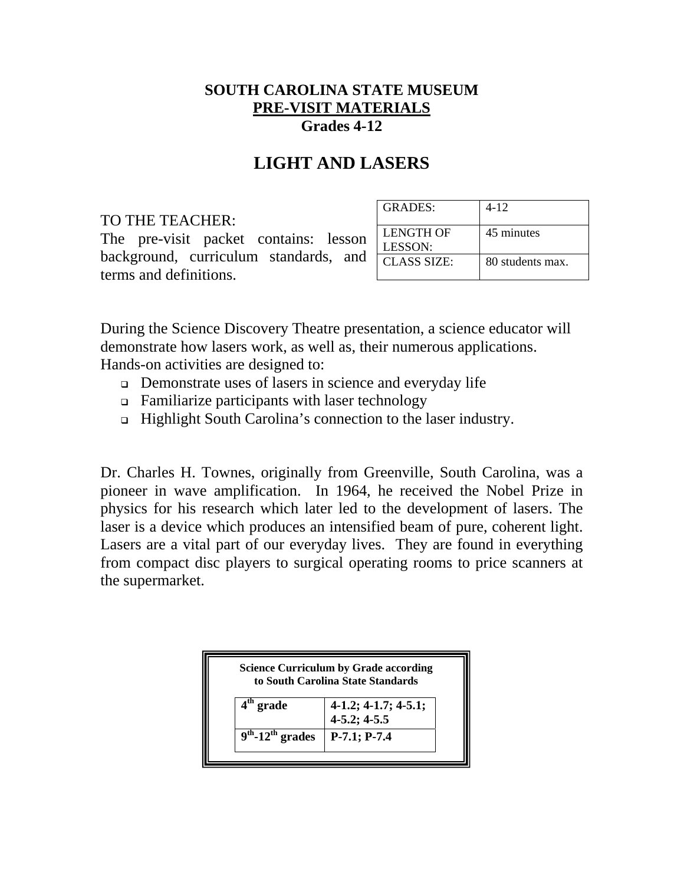## **SOUTH CAROLINA STATE MUSEUM PRE-VISIT MATERIALS Grades 4-12**

## **LIGHT AND LASERS**

## TO THE TEACHER:

The pre-visit packet contains: lesson background, curriculum standards, and terms and definitions.

| GRADES:                     | 4-12             |
|-----------------------------|------------------|
| LENGTH OF<br><b>LESSON:</b> | 45 minutes       |
| <b>CLASS SIZE:</b>          | 80 students max. |

During the Science Discovery Theatre presentation, a science educator will demonstrate how lasers work, as well as, their numerous applications. Hands-on activities are designed to:

- Demonstrate uses of lasers in science and everyday life
- $\Box$  Familiarize participants with laser technology
- Highlight South Carolina's connection to the laser industry.

Dr. Charles H. Townes, originally from Greenville, South Carolina, was a pioneer in wave amplification. In 1964, he received the Nobel Prize in physics for his research which later led to the development of lasers. The laser is a device which produces an intensified beam of pure, coherent light. Lasers are a vital part of our everyday lives. They are found in everything from compact disc players to surgical operating rooms to price scanners at the supermarket.

| <b>Science Curriculum by Grade according</b><br>to South Carolina State Standards |                                             |
|-----------------------------------------------------------------------------------|---------------------------------------------|
| $4th$ grade                                                                       | $4-1.2; 4-1.7; 4-5.1;$<br>$4 - 5.2$ ; 4-5.5 |
| $9th$ -12 <sup>th</sup> grades                                                    | $P-7.1; P-7.4$                              |